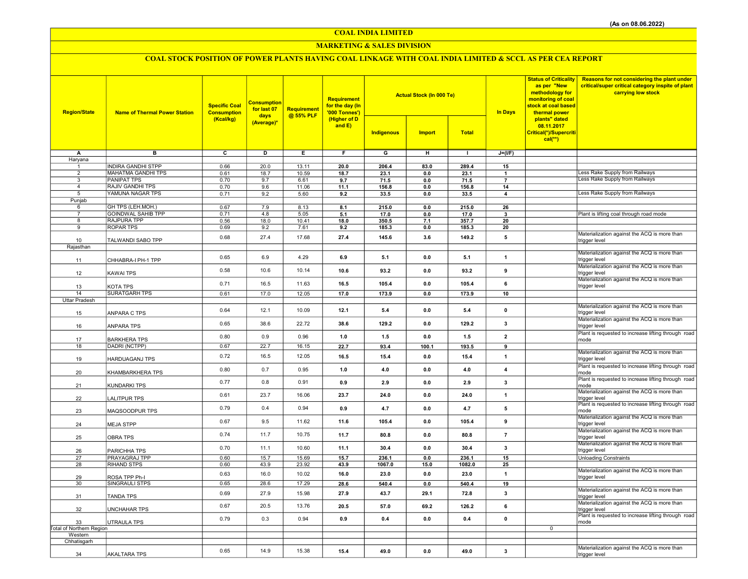COAL INDIA LIMITED

### MARKETING & SALES DIVISION

# COAL STOCK POSITION OF POWER PLANTS HAVING COAL LINKAGE WITH COAL INDIA LIMITED & SCCL AS PER CEA REPORT

| (Higher of D<br>(Kcal/kg)<br>plants" dated<br>(Average)*<br>and $E$ )<br>08.11.2017<br>Indigenous<br><b>Import</b><br><b>Total</b><br>Critical(*)/Supercriti<br>$cal(**)$<br>$J=(I/F)$<br>в<br>C<br>D<br>Е.<br>G<br>н<br>А<br>F.<br>$\mathbf{I}$<br>Haryana<br><b>INDIRA GANDHI STPP</b><br>0.66<br>20.0<br>13.11<br>20.0<br>206.4<br>83.0<br>289.4<br>15<br>$\mathbf{1}$<br>ess Rake Supply from Railways<br>$\overline{2}$<br>MAHATMA GANDHI TPS<br>0.61<br>18.7<br>10.59<br>18.7<br>23.1<br>23.1<br>0.0<br>$\mathbf{1}$<br><b>Less Rake Supply from Railways</b><br><b>PANIPAT TPS</b><br>$\overline{\mathbf{3}}$<br>0.70<br>9.7<br>71.5<br>$\overline{7}$<br>6.61<br>9.7<br>$0.0\,$<br>71.5<br><b>RAJIV GANDHI TPS</b><br>9.6<br>11.1<br>$\overline{4}$<br>0.70<br>11.06<br>156.8<br>0.0<br>156.8<br>14<br>Less Rake Supply from Railways<br>YAMUNA NAGAR TPS<br>5<br>0.71<br>9.2<br>5.60<br>9.2<br>33.5<br>0.0<br>33.5<br>$\overline{\mathbf{4}}$<br>Punjab<br>GH TPS (LEH.MOH.)<br>215.0<br>0.67<br>215.0<br>6<br>7.9<br>8.13<br>8.1<br>0.0<br>26<br>0.71<br>4.8<br>Plant is lifting coal through road mode<br><b>GOINDWAL SAHIB TPP</b><br>5.05<br>17.0<br>$\overline{7}$<br>5.1<br>17.0<br>0.0<br>3<br><b>RAJPURA TPP</b><br>8<br>0.56<br>18.0<br>10.41<br>18.0<br>350.5<br>7.1<br>357.7<br>20<br><b>ROPAR TPS</b><br>9<br>0.69<br>9.2<br>7.61<br>185.3<br>20<br>9.2<br>0.0<br>185.3<br>Materialization against the ACQ is more than<br>0.68<br>27.4<br>17.68<br>27.4<br>145.6<br>3.6<br>149.2<br>5<br>TALWANDI SABO TPP<br>10<br>trigger level<br>Rajasthan | Reasons for not considering the plant under<br>critical/super critical category inspite of plant |
|----------------------------------------------------------------------------------------------------------------------------------------------------------------------------------------------------------------------------------------------------------------------------------------------------------------------------------------------------------------------------------------------------------------------------------------------------------------------------------------------------------------------------------------------------------------------------------------------------------------------------------------------------------------------------------------------------------------------------------------------------------------------------------------------------------------------------------------------------------------------------------------------------------------------------------------------------------------------------------------------------------------------------------------------------------------------------------------------------------------------------------------------------------------------------------------------------------------------------------------------------------------------------------------------------------------------------------------------------------------------------------------------------------------------------------------------------------------------------------------------------------------------------------------------------------------------|--------------------------------------------------------------------------------------------------|
|                                                                                                                                                                                                                                                                                                                                                                                                                                                                                                                                                                                                                                                                                                                                                                                                                                                                                                                                                                                                                                                                                                                                                                                                                                                                                                                                                                                                                                                                                                                                                                      |                                                                                                  |
|                                                                                                                                                                                                                                                                                                                                                                                                                                                                                                                                                                                                                                                                                                                                                                                                                                                                                                                                                                                                                                                                                                                                                                                                                                                                                                                                                                                                                                                                                                                                                                      |                                                                                                  |
|                                                                                                                                                                                                                                                                                                                                                                                                                                                                                                                                                                                                                                                                                                                                                                                                                                                                                                                                                                                                                                                                                                                                                                                                                                                                                                                                                                                                                                                                                                                                                                      |                                                                                                  |
|                                                                                                                                                                                                                                                                                                                                                                                                                                                                                                                                                                                                                                                                                                                                                                                                                                                                                                                                                                                                                                                                                                                                                                                                                                                                                                                                                                                                                                                                                                                                                                      |                                                                                                  |
|                                                                                                                                                                                                                                                                                                                                                                                                                                                                                                                                                                                                                                                                                                                                                                                                                                                                                                                                                                                                                                                                                                                                                                                                                                                                                                                                                                                                                                                                                                                                                                      |                                                                                                  |
|                                                                                                                                                                                                                                                                                                                                                                                                                                                                                                                                                                                                                                                                                                                                                                                                                                                                                                                                                                                                                                                                                                                                                                                                                                                                                                                                                                                                                                                                                                                                                                      |                                                                                                  |
|                                                                                                                                                                                                                                                                                                                                                                                                                                                                                                                                                                                                                                                                                                                                                                                                                                                                                                                                                                                                                                                                                                                                                                                                                                                                                                                                                                                                                                                                                                                                                                      |                                                                                                  |
|                                                                                                                                                                                                                                                                                                                                                                                                                                                                                                                                                                                                                                                                                                                                                                                                                                                                                                                                                                                                                                                                                                                                                                                                                                                                                                                                                                                                                                                                                                                                                                      |                                                                                                  |
|                                                                                                                                                                                                                                                                                                                                                                                                                                                                                                                                                                                                                                                                                                                                                                                                                                                                                                                                                                                                                                                                                                                                                                                                                                                                                                                                                                                                                                                                                                                                                                      |                                                                                                  |
|                                                                                                                                                                                                                                                                                                                                                                                                                                                                                                                                                                                                                                                                                                                                                                                                                                                                                                                                                                                                                                                                                                                                                                                                                                                                                                                                                                                                                                                                                                                                                                      |                                                                                                  |
|                                                                                                                                                                                                                                                                                                                                                                                                                                                                                                                                                                                                                                                                                                                                                                                                                                                                                                                                                                                                                                                                                                                                                                                                                                                                                                                                                                                                                                                                                                                                                                      |                                                                                                  |
|                                                                                                                                                                                                                                                                                                                                                                                                                                                                                                                                                                                                                                                                                                                                                                                                                                                                                                                                                                                                                                                                                                                                                                                                                                                                                                                                                                                                                                                                                                                                                                      |                                                                                                  |
|                                                                                                                                                                                                                                                                                                                                                                                                                                                                                                                                                                                                                                                                                                                                                                                                                                                                                                                                                                                                                                                                                                                                                                                                                                                                                                                                                                                                                                                                                                                                                                      |                                                                                                  |
| Materialization against the ACQ is more than<br>0.65<br>4.29<br>6.9<br>6.9<br>5.1<br>0.0<br>5.1<br>$\mathbf{1}$                                                                                                                                                                                                                                                                                                                                                                                                                                                                                                                                                                                                                                                                                                                                                                                                                                                                                                                                                                                                                                                                                                                                                                                                                                                                                                                                                                                                                                                      |                                                                                                  |
| CHHABRA-I PH-1 TPP<br>trigger level<br>11                                                                                                                                                                                                                                                                                                                                                                                                                                                                                                                                                                                                                                                                                                                                                                                                                                                                                                                                                                                                                                                                                                                                                                                                                                                                                                                                                                                                                                                                                                                            |                                                                                                  |
| Materialization against the ACQ is more than<br>0.58<br>10.6<br>10.14<br>10.6<br>93.2<br>0.0<br>93.2<br>9<br>trigger level<br>12<br>KAWAI TPS                                                                                                                                                                                                                                                                                                                                                                                                                                                                                                                                                                                                                                                                                                                                                                                                                                                                                                                                                                                                                                                                                                                                                                                                                                                                                                                                                                                                                        |                                                                                                  |
| Materialization against the ACQ is more than<br>105.4<br>0.71<br>16.5<br>11.63<br>16.5<br>0.0<br>105.4<br>6<br>trigger level<br>13<br>KOTA TPS                                                                                                                                                                                                                                                                                                                                                                                                                                                                                                                                                                                                                                                                                                                                                                                                                                                                                                                                                                                                                                                                                                                                                                                                                                                                                                                                                                                                                       |                                                                                                  |
| <b>SURATGARH TPS</b><br>14<br>0.61<br>17.0<br>12.05<br>17.0<br>173.9<br>0.0<br>173.9<br>10                                                                                                                                                                                                                                                                                                                                                                                                                                                                                                                                                                                                                                                                                                                                                                                                                                                                                                                                                                                                                                                                                                                                                                                                                                                                                                                                                                                                                                                                           |                                                                                                  |
| Uttar Pradesh<br>Materialization against the ACQ is more than                                                                                                                                                                                                                                                                                                                                                                                                                                                                                                                                                                                                                                                                                                                                                                                                                                                                                                                                                                                                                                                                                                                                                                                                                                                                                                                                                                                                                                                                                                        |                                                                                                  |
| 0.64<br>12.1<br>10.09<br>12.1<br>5.4<br>0.0<br>5.4<br>$\pmb{0}$<br>ANPARA C TPS<br>trigger level<br>15<br>Materialization against the ACQ is more than                                                                                                                                                                                                                                                                                                                                                                                                                                                                                                                                                                                                                                                                                                                                                                                                                                                                                                                                                                                                                                                                                                                                                                                                                                                                                                                                                                                                               |                                                                                                  |
| 38.6<br>22.72<br>0.65<br>3<br>38.6<br>129.2<br>0.0<br>129.2<br><b>ANPARA TPS</b><br>trigger level<br>16                                                                                                                                                                                                                                                                                                                                                                                                                                                                                                                                                                                                                                                                                                                                                                                                                                                                                                                                                                                                                                                                                                                                                                                                                                                                                                                                                                                                                                                              |                                                                                                  |
| Plant is requested to increase lifting through road<br>0.80<br>0.9<br>0.96<br>$\overline{2}$<br>1.0<br>1.5<br>0.0<br>1.5<br>17<br><b>BARKHERA TPS</b><br>mode                                                                                                                                                                                                                                                                                                                                                                                                                                                                                                                                                                                                                                                                                                                                                                                                                                                                                                                                                                                                                                                                                                                                                                                                                                                                                                                                                                                                        |                                                                                                  |
| DADRI (NCTPP)<br>18<br>22.7<br>22.7<br>93.4<br>100.1<br>193.5<br>0.67<br>16.15<br>9                                                                                                                                                                                                                                                                                                                                                                                                                                                                                                                                                                                                                                                                                                                                                                                                                                                                                                                                                                                                                                                                                                                                                                                                                                                                                                                                                                                                                                                                                  |                                                                                                  |
| Materialization against the ACQ is more than<br>0.72<br>16.5<br>12.05<br>16.5<br>15.4<br>0.0<br>15.4<br>$\mathbf{1}$<br>HARDUAGANJ TPS<br>trigger level<br>19                                                                                                                                                                                                                                                                                                                                                                                                                                                                                                                                                                                                                                                                                                                                                                                                                                                                                                                                                                                                                                                                                                                                                                                                                                                                                                                                                                                                        |                                                                                                  |
| Plant is requested to increase lifting through road<br>0.80<br>0.7<br>0.95<br>1.0<br>4.0<br>0.0<br>4.0<br>$\overline{\mathbf{4}}$<br>20<br>KHAMBARKHERA TPS<br>mode                                                                                                                                                                                                                                                                                                                                                                                                                                                                                                                                                                                                                                                                                                                                                                                                                                                                                                                                                                                                                                                                                                                                                                                                                                                                                                                                                                                                  |                                                                                                  |
| Plant is requested to increase lifting through road<br>3<br>0.77<br>0.8<br>0.91<br>0.9<br>2.9<br>0.0<br>2.9<br>21<br>KUNDARKI TPS<br>mode                                                                                                                                                                                                                                                                                                                                                                                                                                                                                                                                                                                                                                                                                                                                                                                                                                                                                                                                                                                                                                                                                                                                                                                                                                                                                                                                                                                                                            |                                                                                                  |
| Materialization against the ACQ is more than<br>23.7<br>0.61<br>16.06<br>23.7<br>24.0<br>0.0<br>24.0<br>$\mathbf{1}$<br>22<br>LALITPUR TPS<br>trigger level                                                                                                                                                                                                                                                                                                                                                                                                                                                                                                                                                                                                                                                                                                                                                                                                                                                                                                                                                                                                                                                                                                                                                                                                                                                                                                                                                                                                          |                                                                                                  |
| Plant is requested to increase lifting through road<br>0.79<br>0.4<br>0.94<br>0.9<br>4.7<br>0.0<br>4.7<br>5<br>mode<br>23<br>MAQSOODPUR TPS                                                                                                                                                                                                                                                                                                                                                                                                                                                                                                                                                                                                                                                                                                                                                                                                                                                                                                                                                                                                                                                                                                                                                                                                                                                                                                                                                                                                                          |                                                                                                  |
| Materialization against the ACQ is more than<br>0.67<br>9.5<br>11.62<br>9<br>11.6<br>105.4<br>0.0<br>105.4<br>24<br><b>MEJA STPP</b><br>trigger level                                                                                                                                                                                                                                                                                                                                                                                                                                                                                                                                                                                                                                                                                                                                                                                                                                                                                                                                                                                                                                                                                                                                                                                                                                                                                                                                                                                                                |                                                                                                  |
| Materialization against the ACQ is more than<br>0.74<br>11.7<br>10.75<br>11.7<br>80.8<br>0.0<br>80.8<br>$\overline{7}$<br>25<br>trigger level<br>OBRA TPS                                                                                                                                                                                                                                                                                                                                                                                                                                                                                                                                                                                                                                                                                                                                                                                                                                                                                                                                                                                                                                                                                                                                                                                                                                                                                                                                                                                                            |                                                                                                  |
| Materialization against the ACQ is more than<br>0.70<br>11.1<br>10.60<br>3<br>11.1<br>30.4<br>0.0<br>30.4<br>26<br>PARICHHA TPS<br>trigger level                                                                                                                                                                                                                                                                                                                                                                                                                                                                                                                                                                                                                                                                                                                                                                                                                                                                                                                                                                                                                                                                                                                                                                                                                                                                                                                                                                                                                     |                                                                                                  |
| $\overline{27}$<br>PRAYAGRAJ TPP<br>15.69<br>0.60<br>15.7<br>236.1<br>15<br>15.7<br>236.1<br>0.0<br><b>Unloading Constraints</b><br>43.9<br>28<br><b>RIHAND STPS</b><br>0.60<br>23.92<br>25<br>43.9<br>1067.0<br>15.0<br>1082.0                                                                                                                                                                                                                                                                                                                                                                                                                                                                                                                                                                                                                                                                                                                                                                                                                                                                                                                                                                                                                                                                                                                                                                                                                                                                                                                                      |                                                                                                  |
| Materialization against the ACQ is more than                                                                                                                                                                                                                                                                                                                                                                                                                                                                                                                                                                                                                                                                                                                                                                                                                                                                                                                                                                                                                                                                                                                                                                                                                                                                                                                                                                                                                                                                                                                         |                                                                                                  |
| 0.63<br>16.0<br>10.02<br>16.0<br>23.0<br>0.0<br>23.0<br>$\mathbf{1}$<br>29<br>ROSA TPP Ph-I<br>trigger level                                                                                                                                                                                                                                                                                                                                                                                                                                                                                                                                                                                                                                                                                                                                                                                                                                                                                                                                                                                                                                                                                                                                                                                                                                                                                                                                                                                                                                                         |                                                                                                  |
| <b>SINGRAULI STPS</b><br>30<br>0.65<br>28.6<br>17.29<br>19<br>28.6<br>540.4<br>0.0<br>540.4                                                                                                                                                                                                                                                                                                                                                                                                                                                                                                                                                                                                                                                                                                                                                                                                                                                                                                                                                                                                                                                                                                                                                                                                                                                                                                                                                                                                                                                                          |                                                                                                  |
| Materialization against the ACQ is more than<br>$\mathbf{3}$<br>0.69<br>27.9<br>15.98<br>27.9<br>43.7<br>29.1<br>72.8<br><b>TANDA TPS</b><br>31<br>trigger level                                                                                                                                                                                                                                                                                                                                                                                                                                                                                                                                                                                                                                                                                                                                                                                                                                                                                                                                                                                                                                                                                                                                                                                                                                                                                                                                                                                                     |                                                                                                  |
| Materialization against the ACQ is more than<br>0.67<br>20.5<br>13.76<br>57.0<br>69.2<br>126.2<br>6<br>20.5<br>32<br>UNCHAHAR TPS<br>trigger level                                                                                                                                                                                                                                                                                                                                                                                                                                                                                                                                                                                                                                                                                                                                                                                                                                                                                                                                                                                                                                                                                                                                                                                                                                                                                                                                                                                                                   |                                                                                                  |
| Plant is requested to increase lifting through road<br>0.79<br>0.3<br>0.94<br>$\pmb{0}$<br>0.9<br>0.4<br>0.0<br>0.4<br>33<br>UTRAULA TPS<br>mode                                                                                                                                                                                                                                                                                                                                                                                                                                                                                                                                                                                                                                                                                                                                                                                                                                                                                                                                                                                                                                                                                                                                                                                                                                                                                                                                                                                                                     |                                                                                                  |
| <b>Total of Northern Region</b><br>$\overline{0}$                                                                                                                                                                                                                                                                                                                                                                                                                                                                                                                                                                                                                                                                                                                                                                                                                                                                                                                                                                                                                                                                                                                                                                                                                                                                                                                                                                                                                                                                                                                    |                                                                                                  |
| Western<br>Chhatisgarh                                                                                                                                                                                                                                                                                                                                                                                                                                                                                                                                                                                                                                                                                                                                                                                                                                                                                                                                                                                                                                                                                                                                                                                                                                                                                                                                                                                                                                                                                                                                               |                                                                                                  |
| Materialization against the ACQ is more than<br>0.65<br>14.9<br>15.38<br>$\overline{\mathbf{3}}$<br>15.4<br>49.0<br>0.0<br>49.0<br>34<br><b>AKALTARA TPS</b><br>trigger level                                                                                                                                                                                                                                                                                                                                                                                                                                                                                                                                                                                                                                                                                                                                                                                                                                                                                                                                                                                                                                                                                                                                                                                                                                                                                                                                                                                        |                                                                                                  |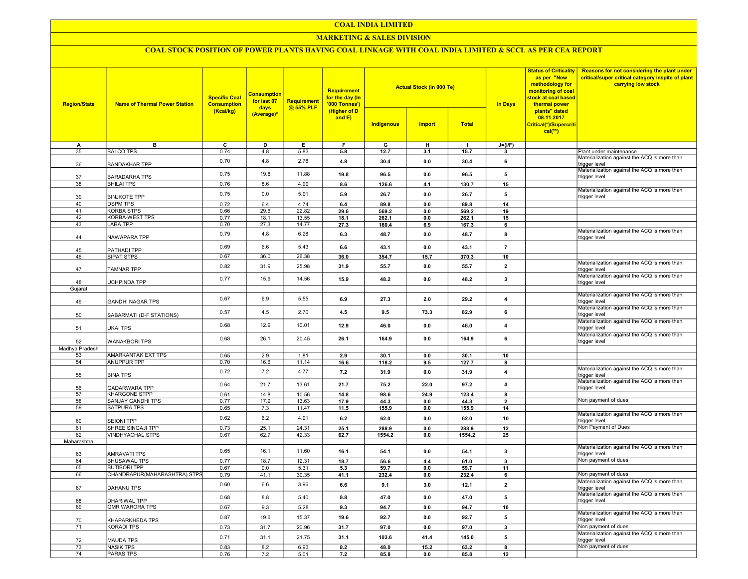### COAL INDIA LIMITED

### MARKETING & SALES DIVISION

## COAL STOCK POSITION OF POWER PLANTS HAVING COAL LINKAGE WITH COAL INDIA LIMITED & SCCL AS PER CEA REPORT

| <b>Region/State</b> | <b>Name of Thermal Power Station</b>         | <b>Specific Coal</b><br><b>Consumption</b> | <b>Consumption</b><br>for last 07 | <b>Requirement</b><br>@ 55% PLF | <b>Requirement</b><br>for the day (In<br>'000 Tonnes') |                   |               | <b>Actual Stock (In 000 Te)</b> |                         | <b>Status of Criticality</b><br>as per "New<br>methodology for<br>monitoring of coal<br>stock at coal based<br>thermal power | Reasons for not considering the plant under<br>critical/super critical category inspite of plant<br>carrying low stock |
|---------------------|----------------------------------------------|--------------------------------------------|-----------------------------------|---------------------------------|--------------------------------------------------------|-------------------|---------------|---------------------------------|-------------------------|------------------------------------------------------------------------------------------------------------------------------|------------------------------------------------------------------------------------------------------------------------|
|                     |                                              | (Kcal/kg)                                  | days<br>(Average)*                |                                 | (Higher of D<br>and E)                                 | <b>Indigenous</b> | <b>Import</b> | <b>Total</b>                    |                         | plants" dated<br>08.11.2017<br>Critical(*)/Supercriti<br>$cal$ (**)                                                          |                                                                                                                        |
| A                   | в                                            | ᢎ                                          | D                                 | Е.                              | F                                                      | G                 | н             | -1                              | $J=(I/F)$               |                                                                                                                              |                                                                                                                        |
| 35                  | <b>BALCO TPS</b>                             | 0.74                                       | 4.8                               | 5.83                            | 5.8                                                    | 12.7              | 3.1           | 15.7                            | $\mathbf{3}$            |                                                                                                                              | Plant under maintenance                                                                                                |
| 36                  | <b>BANDAKHAR TPP</b>                         | 0.70                                       | 4.8                               | 2.78                            | 4.8                                                    | 30.4              | 0.0           | 30.4                            | 6                       |                                                                                                                              | Materialization against the ACQ is more than<br>trigger level                                                          |
| 37                  | <b>BARADARHA TPS</b>                         | 0.75                                       | 19.8                              | 11.88                           | 19.8                                                   | 96.5              | 0.0           | 96.5                            | 5                       |                                                                                                                              | Materialization against the ACQ is more than<br>trigger level                                                          |
| 38                  | <b>BHILAI TPS</b>                            | 0.76                                       | 8.6                               | 4.99                            | 8.6                                                    | 126.6             | 4.1           | 130.7                           | 15                      |                                                                                                                              | Materialization against the ACQ is more than                                                                           |
| 39                  | <b>BINJKOTE TPP</b>                          | 0.75                                       | 0.0                               | 5.91                            | 5.9                                                    | 26.7              | 0.0           | 26.7                            | 5                       |                                                                                                                              | trigger level                                                                                                          |
| 40<br>41            | <b>DSPM TPS</b><br><b>KORBA STPS</b>         | 0.72                                       | 6.4                               | 4.74                            | 6.4                                                    | 89.8              | 0.0           | 89.8                            | 14                      |                                                                                                                              |                                                                                                                        |
| 42                  | <b>KORBA-WEST TPS</b>                        | 0.66<br>0.77                               | 29.6<br>18.1                      | 22.82<br>13.55                  | 29.6<br>18.1                                           | 569.2<br>262.1    | 0.0<br>0.0    | 569.2<br>262.1                  | 19<br>15                |                                                                                                                              |                                                                                                                        |
| 43                  | <b>LARA TPP</b>                              | 0.70                                       | 27.3                              | 14.77                           | 27.3                                                   | 160.4             | 6.9           | 167.3                           | 6                       |                                                                                                                              |                                                                                                                        |
|                     |                                              | 0.79                                       | 4.8                               | 6.28                            | 6.3                                                    | 48.7              | 0.0           | 48.7                            | 8                       |                                                                                                                              | Materialization against the ACQ is more than                                                                           |
| 44                  | NAWAPARA TPP                                 | 0.69                                       | 6.6                               | 5.43                            | 6.6                                                    | 43.1              | 0.0           | 43.1                            | $\overline{7}$          |                                                                                                                              | trigger level                                                                                                          |
| 45<br>46            | PATHADI TPP<br>SIPAT STPS                    | 0.67                                       | 36.0                              | 26.38                           | 36.0                                                   | 354.7             | 15.7          | 370.3                           | 10                      |                                                                                                                              |                                                                                                                        |
| 47                  | <b>TAMNAR TPP</b>                            | 0.82                                       | 31.9                              | 25.98                           | 31.9                                                   | 55.7              | 0.0           | 55.7                            | $\overline{\mathbf{2}}$ |                                                                                                                              | Materialization against the ACQ is more than<br>trigger level                                                          |
| 48                  | <b>UCHPINDA TPP</b>                          | 0.77                                       | 15.9                              | 14.56                           | 15.9                                                   | 48.2              | 0.0           | 48.2                            | 3                       |                                                                                                                              | Materialization against the ACQ is more than<br>trigger level                                                          |
| Gujarat             |                                              |                                            |                                   |                                 |                                                        |                   |               |                                 |                         |                                                                                                                              |                                                                                                                        |
| 49                  | <b>GANDHI NAGAR TPS</b>                      | 0.67                                       | 6.9                               | 5.55                            | 6.9                                                    | 27.3              | 2.0           | 29.2                            | $\overline{\mathbf{4}}$ |                                                                                                                              | Materialization against the ACQ is more than<br>rigger level                                                           |
| 50                  | SABARMATI (D-F STATIONS)                     | 0.57                                       | 4.5                               | 2.70                            | 4.5                                                    | 9.5               | 73.3          | 82.9                            | 6                       |                                                                                                                              | Materialization against the ACQ is more than<br>trigger level                                                          |
| 51                  | <b>UKAI TPS</b>                              | 0.68                                       | 12.9                              | 10.01                           | 12.9                                                   | 46.0              | 0.0           | 46.0                            | $\overline{\mathbf{4}}$ |                                                                                                                              | Materialization against the ACQ is more than<br>trigger level                                                          |
| 52                  | <b>WANAKBORI TPS</b>                         | 0.68                                       | 26.1                              | 20.45                           | 26.1                                                   | 164.9             | 0.0           | 164.9                           | 6                       |                                                                                                                              | Materialization against the ACQ is more than<br>trigger level                                                          |
| Madhya Pradesh      |                                              |                                            |                                   |                                 |                                                        |                   |               |                                 |                         |                                                                                                                              |                                                                                                                        |
| 53                  | AMARKANTAK EXT TPS                           | 0.65                                       | 2.9                               | 1.81                            | 2.9                                                    | 30.1              | 0.0           | 30.1                            | 10                      |                                                                                                                              |                                                                                                                        |
| 54                  | <b>ANUPPUR TPP</b>                           | 0.70                                       | 16.6                              | 11.14                           | 16.6                                                   | 118.2             | 9.5           | 127.7                           | 8                       |                                                                                                                              |                                                                                                                        |
| 55                  | <b>BINA TPS</b>                              | 0.72                                       | 7.2                               | 4.77                            | $7.2$                                                  | 31.9              | 0.0           | 31.9                            | $\overline{\mathbf{4}}$ |                                                                                                                              | Materialization against the ACQ is more than<br>trigger level                                                          |
| 56<br>57            | <b>GADARWARA TPP</b><br><b>KHARGONE STPP</b> | 0.64<br>0.61                               | 21.7<br>14.8                      | 13.61<br>10.56                  | 21.7                                                   | 75.2              | 22.0          | 97.2                            | $\overline{\mathbf{4}}$ |                                                                                                                              | Materialization against the ACQ is more than<br>trigger level                                                          |
| 58                  | <b>SANJAY GANDHI TPS</b>                     | 0.77                                       | 17.9                              | 13.63                           | 14.8<br>17.9                                           | 98.6<br>44.3      | 24.9<br>0.0   | 123.4<br>44.3                   | 8<br>$\overline{2}$     |                                                                                                                              | Non payment of dues                                                                                                    |
| 59                  | <b>SATPURA TPS</b>                           | 0.65                                       | 7.3                               | 11.47                           | 11.5                                                   | 155.9             | 0.0           | 155.9                           | 14                      |                                                                                                                              |                                                                                                                        |
| 60                  | <b>SEIONI TPP</b>                            | 0.62                                       | 6.2                               | 4.91                            | 6.2                                                    | 62.0              | 0.0           | 62.0                            | 10                      |                                                                                                                              | Materialization against the ACQ is more than<br>trigger level                                                          |
| 61                  | SHREE SINGAJI TPP                            | 0.73                                       | 25.1                              | 24.31                           | 25.1                                                   | 288.9             | 0.0           | 288.9                           | 12                      |                                                                                                                              | Non Payment of Dues                                                                                                    |
| 62                  | <b>VINDHYACHAL STPS</b>                      | 0.67                                       | 62.7                              | 42.33                           | 62.7                                                   | 1554.2            | 0.0           | 1554.2                          | 25                      |                                                                                                                              |                                                                                                                        |
| Maharashtra         |                                              |                                            |                                   |                                 |                                                        |                   |               |                                 |                         |                                                                                                                              |                                                                                                                        |
| 63                  | <b>AMRAVATI TPS</b>                          | 0.65                                       | 16.1                              | 11.60                           | 16.1                                                   | 54.1              | 0.0           | 54.1                            | $\overline{\mathbf{3}}$ |                                                                                                                              | Materialization against the ACQ is more than<br>trigger level                                                          |
| 64                  | <b>BHUSAWAL TPS</b>                          | 0.77                                       | 18.7                              | 12.31                           | 18.7                                                   | 56.6              | 4.4           | 61.0                            | $\overline{\mathbf{3}}$ |                                                                                                                              | Non payment of dues                                                                                                    |
| 65                  | <b>BUTIBORI TPP</b>                          | 0.67                                       | 0.0                               | 5.31                            | 5.3                                                    | 59.7              | 0.0           | 59.7                            | 11                      |                                                                                                                              |                                                                                                                        |
| 66                  | CHANDRAPUR(MAHARASHTRA) STPS                 | 0.79                                       | 41.1                              | 30.35                           | 41.1                                                   | 232.4             | 0.0           | 232.4                           | 6                       |                                                                                                                              | Non payment of dues                                                                                                    |
| 67                  | DAHANU TPS                                   | 0.60                                       | 6.6                               | 3.96                            | 6.6                                                    | 9.1               | 3.0           | 12.1                            | $\overline{2}$          |                                                                                                                              | Materialization against the ACQ is more than<br>trigger level                                                          |
| 68                  | DHARIWAL TPP                                 | 0.68                                       | 8.8                               | 5.40                            | 8.8                                                    | 47.0              | 0.0           | 47.0                            | 5                       |                                                                                                                              | Materialization against the ACQ is more than<br>trigger level                                                          |
| 69                  | <b>GMR WARORA TPS</b>                        | 0.67<br>0.87                               | 9.3<br>19.6                       | 5.28<br>15.37                   | 9.3<br>19.6                                            | 94.7<br>92.7      | 0.0<br>0.0    | 94.7<br>92.7                    | 10<br>5                 |                                                                                                                              | Materialization against the ACQ is more than                                                                           |
| 70                  | KHAPARKHEDA TPS                              |                                            |                                   |                                 |                                                        |                   |               |                                 |                         |                                                                                                                              | trigger level                                                                                                          |
| 71                  | <b>KORADI TPS</b>                            | 0.73<br>0.71                               | 31.7<br>31.1                      | 20.96<br>21.75                  | 31.7<br>31.1                                           | 97.0<br>103.6     | 0.0<br>41.4   | 97.0<br>145.0                   | $\mathbf{3}$<br>5       |                                                                                                                              | Non payment of dues<br>Materialization against the ACQ is more than                                                    |
| 72                  | <b>MAUDA TPS</b>                             |                                            |                                   |                                 |                                                        |                   |               |                                 |                         |                                                                                                                              | trigger level                                                                                                          |
| 73                  | <b>NASIK TPS</b>                             | 0.83                                       | 8.2                               | 6.93                            | 8.2                                                    | 48.0              | 15.2          | 63.2                            | $\overline{\mathbf{8}}$ |                                                                                                                              | Non payment of dues                                                                                                    |
| 74                  | <b>PARAS TPS</b>                             | 0.76                                       | 7.2                               | 5.01                            | $7.2$                                                  | 85.8              | 0.0           | 85.8                            | 12                      |                                                                                                                              |                                                                                                                        |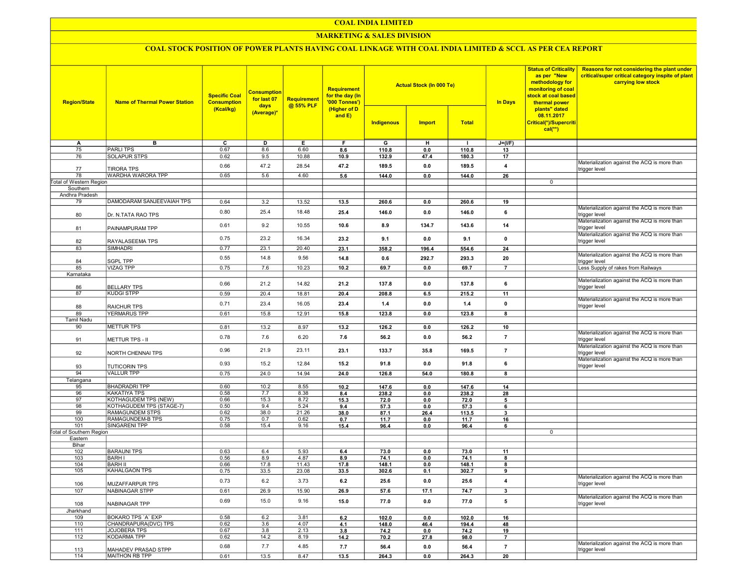## COAL INDIA LIMITED

## **MARKETING & SALES DIVISION**

# COAL STOCK POSITION OF POWER PLANTS HAVING COAL LINKAGE WITH COAL INDIA LIMITED & SCCL AS PER CEA REPORT

| <b>Region/State</b>             | <b>Name of Thermal Power Station</b> | <b>Specific Coal</b><br><b>Consumption</b><br>(Kcal/kg) | <b>Consumption</b><br>for last 07<br>days<br>(Average)* | <b>Requirement</b><br>@ 55% PLF | <b>Requirement</b><br>for the day (In<br>'000 Tonnes')<br>(Higher of D<br>and $E$ ) | Indigenous | <b>Actual Stock (In 000 Te)</b><br><b>Import</b> | <b>Total</b> | <b>In Days</b>          | <b>Status of Criticality</b><br>as per "New<br>methodology for<br>monitoring of coal<br>stock at coal based<br>thermal power<br>plants" dated<br>08.11.2017<br>Critical(*)/Supercriti<br>$cal(**)$ | Reasons for not considering the plant under<br>critical/super critical category inspite of plant<br>carrying low stock |
|---------------------------------|--------------------------------------|---------------------------------------------------------|---------------------------------------------------------|---------------------------------|-------------------------------------------------------------------------------------|------------|--------------------------------------------------|--------------|-------------------------|----------------------------------------------------------------------------------------------------------------------------------------------------------------------------------------------------|------------------------------------------------------------------------------------------------------------------------|
|                                 |                                      |                                                         |                                                         |                                 |                                                                                     |            |                                                  |              |                         |                                                                                                                                                                                                    |                                                                                                                        |
| A                               | в                                    | C                                                       | D                                                       | Е.                              | F.                                                                                  | G          | н                                                | п.           | $J=(I/F)$               |                                                                                                                                                                                                    |                                                                                                                        |
| 75                              | <b>PARLITPS</b>                      | 0.67                                                    | 8.6                                                     | 6.60                            | 8.6                                                                                 | 110.8      | 0.0                                              | 110.8        | 13                      |                                                                                                                                                                                                    |                                                                                                                        |
| 76                              | SOLAPUR STPS                         | 0.62                                                    | 9.5                                                     | 10.88                           | 10.9                                                                                | 132.9      | 47.4                                             | 180.3        | 17                      |                                                                                                                                                                                                    |                                                                                                                        |
| 77                              | <b>TIRORA TPS</b>                    | 0.66                                                    | 47.2                                                    | 28.54                           | 47.2                                                                                | 189.5      | 0.0                                              | 189.5        | $\overline{\mathbf{4}}$ |                                                                                                                                                                                                    | Materialization against the ACQ is more than<br>trigger level                                                          |
| 78                              | <b>WARDHA WARORA TPP</b>             | 0.65                                                    | 5.6                                                     | 4.60                            | 5.6                                                                                 | 144.0      | 0.0                                              | 144.0        | 26                      |                                                                                                                                                                                                    |                                                                                                                        |
| Total of Western Region         |                                      |                                                         |                                                         |                                 |                                                                                     |            |                                                  |              |                         | 0                                                                                                                                                                                                  |                                                                                                                        |
|                                 |                                      |                                                         |                                                         |                                 |                                                                                     |            |                                                  |              |                         |                                                                                                                                                                                                    |                                                                                                                        |
| Southern<br>Andhra Pradesh      |                                      |                                                         |                                                         |                                 |                                                                                     |            |                                                  |              |                         |                                                                                                                                                                                                    |                                                                                                                        |
|                                 |                                      |                                                         |                                                         |                                 |                                                                                     |            |                                                  |              |                         |                                                                                                                                                                                                    |                                                                                                                        |
| 79                              | DAMODARAM SANJEEVAIAH TPS            | 0.64                                                    | 3.2                                                     | 13.52                           | 13.5                                                                                | 260.6      | 0.0                                              | 260.6        | 19                      |                                                                                                                                                                                                    |                                                                                                                        |
| 80                              | Dr. N.TATA RAO TPS                   | 0.80                                                    | 25.4                                                    | 18.48                           | 25.4                                                                                | 146.0      | 0.0                                              | 146.0        | 6                       |                                                                                                                                                                                                    | Materialization against the ACQ is more than<br>trigger level                                                          |
| 81                              | PAINAMPURAM TPP                      | 0.61                                                    | 9.2                                                     | 10.55                           | 10.6                                                                                | 8.9        | 134.7                                            | 143.6        | 14                      |                                                                                                                                                                                                    | Materialization against the ACQ is more than<br>trigger level                                                          |
|                                 |                                      |                                                         |                                                         |                                 |                                                                                     |            |                                                  |              |                         |                                                                                                                                                                                                    | Materialization against the ACQ is more than                                                                           |
| 82                              | RAYALASEEMA TPS                      | 0.75                                                    | 23.2                                                    | 16.34                           | 23.2                                                                                | 9.1        | 0.0                                              | 9.1          | $\pmb{0}$               |                                                                                                                                                                                                    | trigger level                                                                                                          |
| 83                              | SIMHADRI                             | 0.77                                                    | 23.1                                                    | 20.40                           | 23.1                                                                                | 358.2      | 196.4                                            | 554.6        | 24                      |                                                                                                                                                                                                    |                                                                                                                        |
|                                 |                                      | 0.55                                                    | 14.8                                                    | 9.56                            | 14.8                                                                                | 0.6        | 292.7                                            | 293.3        | 20                      |                                                                                                                                                                                                    | Materialization against the ACQ is more than                                                                           |
| 84                              | <b>SGPL TPP</b>                      |                                                         |                                                         |                                 |                                                                                     |            |                                                  |              |                         |                                                                                                                                                                                                    | trigger level                                                                                                          |
| 85                              | VIZAG TPP                            | 0.75                                                    | 7.6                                                     | 10.23                           | 10.2                                                                                | 69.7       | 0.0                                              | 69.7         | $\overline{7}$          |                                                                                                                                                                                                    | Less Supply of rakes from Railways                                                                                     |
| Karnataka                       |                                      |                                                         |                                                         |                                 |                                                                                     |            |                                                  |              |                         |                                                                                                                                                                                                    |                                                                                                                        |
|                                 |                                      | 0.66                                                    | 21.2                                                    | 14.82                           | 21.2                                                                                | 137.8      | 0.0                                              | 137.8        | 6                       |                                                                                                                                                                                                    | Materialization against the ACQ is more than                                                                           |
| 86                              | <b>BELLARY TPS</b>                   |                                                         |                                                         |                                 |                                                                                     |            |                                                  |              |                         |                                                                                                                                                                                                    | trigger level                                                                                                          |
| 87                              | <b>KUDGI STPP</b>                    | 0.59                                                    | 20.4                                                    | 18.81                           | 20.4                                                                                | 208.8      | 6.5                                              | 215.2        | 11                      |                                                                                                                                                                                                    |                                                                                                                        |
|                                 |                                      | 0.71                                                    | 23.4                                                    | 16.05                           | 23.4                                                                                | 1.4        | 0.0                                              | 1.4          | $\mathbf 0$             |                                                                                                                                                                                                    | Materialization against the ACQ is more than                                                                           |
| 88                              | <b>RAICHUR TPS</b>                   |                                                         |                                                         |                                 |                                                                                     |            |                                                  |              |                         |                                                                                                                                                                                                    | trigger level                                                                                                          |
| 89                              | <b>YERMARUS TPP</b>                  | 0.61                                                    | 15.8                                                    | 12.91                           | 15.8                                                                                | 123.8      | 0.0                                              | 123.8        | 8                       |                                                                                                                                                                                                    |                                                                                                                        |
| Tamil Nadu                      |                                      |                                                         |                                                         |                                 |                                                                                     |            |                                                  |              |                         |                                                                                                                                                                                                    |                                                                                                                        |
| 90                              | <b>METTUR TPS</b>                    | 0.81                                                    | 13.2                                                    | 8.97                            | 13.2                                                                                | 126.2      | 0.0                                              | 126.2        | 10                      |                                                                                                                                                                                                    |                                                                                                                        |
|                                 |                                      |                                                         |                                                         |                                 |                                                                                     |            |                                                  |              |                         |                                                                                                                                                                                                    | Materialization against the ACQ is more than                                                                           |
| 91                              | METTUR TPS - II                      | 0.78                                                    | 7.6                                                     | 6.20                            | 7.6                                                                                 | 56.2       | 0.0                                              | 56.2         | $\overline{7}$          |                                                                                                                                                                                                    | trigger level                                                                                                          |
| 92                              | NORTH CHENNAI TPS                    | 0.96                                                    | 21.9                                                    | 23.11                           | 23.1                                                                                | 133.7      | 35.8                                             | 169.5        | $\overline{7}$          |                                                                                                                                                                                                    | Materialization against the ACQ is more than<br>trigger level                                                          |
| 93                              | <b>TUTICORIN TPS</b>                 | 0.93                                                    | 15.2                                                    | 12.84                           | 15.2                                                                                | 91.8       | 0.0                                              | 91.8         | 6                       |                                                                                                                                                                                                    | Materialization against the ACQ is more than<br>trigger level                                                          |
|                                 |                                      |                                                         |                                                         |                                 |                                                                                     |            |                                                  |              |                         |                                                                                                                                                                                                    |                                                                                                                        |
| 94                              | <b>VALLUR TPP</b>                    | 0.75                                                    | 24.0                                                    | 14.94                           | 24.0                                                                                | 126.8      | 54.0                                             | 180.8        | 8                       |                                                                                                                                                                                                    |                                                                                                                        |
| Telangana                       |                                      |                                                         |                                                         |                                 |                                                                                     |            |                                                  |              |                         |                                                                                                                                                                                                    |                                                                                                                        |
| 95                              | <b>BHADRADRI TPP</b>                 | 0.60                                                    | 10.2                                                    | 8.55                            | 10.2                                                                                | 147.6      | 0.0                                              | 147.6        | 14                      |                                                                                                                                                                                                    |                                                                                                                        |
| 96                              | <b>KAKATIYA TPS</b>                  | 0.58                                                    | 7.7                                                     | 8.38                            | 8.4                                                                                 | 238.2      | 0.0                                              | 238.2        | 28                      |                                                                                                                                                                                                    |                                                                                                                        |
| 97                              | KOTHAGUDEM TPS (NEW)                 | 0.66                                                    | 15.3                                                    | 8.72                            | 15.3                                                                                | 72.0       | 0.0                                              | 72.0         | 5                       |                                                                                                                                                                                                    |                                                                                                                        |
| 98                              | KOTHAGUDEM TPS (STAGE-7)             | 0.50                                                    | 9.4                                                     | 5.24                            | 9.4                                                                                 | 57.3       | 0.0                                              | 57.3         | 6                       |                                                                                                                                                                                                    |                                                                                                                        |
| 99                              | RAMAGUNDEM STPS                      | 0.62                                                    | 38.0                                                    | 21.26                           | 38.0                                                                                | 87.1       | 26.4                                             | 113.5        | 3                       |                                                                                                                                                                                                    |                                                                                                                        |
| 100                             | RAMAGUNDEM-B TPS                     | 0.75                                                    | 0.7                                                     | 0.62                            | 0.7                                                                                 | 11.7       | 0.0                                              | 11.7         | 16                      |                                                                                                                                                                                                    |                                                                                                                        |
| 101                             | SINGARENI TPP                        | 0.58                                                    | 15.4                                                    | 9.16                            | 15.4                                                                                | 96.4       | 0.0                                              | 96.4         | 6                       |                                                                                                                                                                                                    |                                                                                                                        |
| <b>Total of Southern Region</b> |                                      |                                                         |                                                         |                                 |                                                                                     |            |                                                  |              |                         | 0                                                                                                                                                                                                  |                                                                                                                        |
| Eastern                         |                                      |                                                         |                                                         |                                 |                                                                                     |            |                                                  |              |                         |                                                                                                                                                                                                    |                                                                                                                        |
| Bihar                           |                                      |                                                         |                                                         |                                 |                                                                                     |            |                                                  |              |                         |                                                                                                                                                                                                    |                                                                                                                        |
| 102                             | <b>BARAUNI TPS</b>                   | 0.63                                                    | 6.4                                                     | 5.93                            | 6.4                                                                                 | 73.0       | 0.0                                              | 73.0         | 11                      |                                                                                                                                                                                                    |                                                                                                                        |
| 103                             | <b>BARH I</b>                        | 0.56                                                    | 8.9                                                     | 4.87                            | 8.9                                                                                 | 74.1       | 0.0                                              | 74.1         | 8                       |                                                                                                                                                                                                    |                                                                                                                        |
| 104                             | <b>BARH II</b>                       | 0.66                                                    | 17.8                                                    | 11.43                           | 17.8                                                                                | 148.1      | 0.0                                              | 148.1        | 8                       |                                                                                                                                                                                                    |                                                                                                                        |
| 105                             | KAHALGAON TPS                        | 0.75                                                    | 33.5                                                    | 23.08                           | 33.5                                                                                | 302.6      | 0.1                                              | 302.7        | 9                       |                                                                                                                                                                                                    |                                                                                                                        |
|                                 |                                      |                                                         |                                                         |                                 |                                                                                     |            |                                                  |              |                         |                                                                                                                                                                                                    | Materialization against the ACQ is more than                                                                           |
| 106                             | <b>MUZAFFARPUR TPS</b>               | 0.73                                                    | 6.2                                                     | 3.73                            | 6.2                                                                                 | 25.6       | 0.0                                              | 25.6         | $\overline{4}$          |                                                                                                                                                                                                    | trigger level                                                                                                          |
| 107                             | NABINAGAR STPP                       | 0.61                                                    | 26.9                                                    | 15.90                           | 26.9                                                                                | 57.6       | 17.1                                             | 74.7         | 3                       |                                                                                                                                                                                                    |                                                                                                                        |
| 108                             | NABINAGAR TPP                        | 0.69                                                    | 15.0                                                    | 9.16                            | 15.0                                                                                | 77.0       | 0.0                                              | 77.0         | 5                       |                                                                                                                                                                                                    | Materialization against the ACQ is more than<br>trigger level                                                          |
| Jharkhand                       |                                      |                                                         |                                                         |                                 |                                                                                     |            |                                                  |              |                         |                                                                                                                                                                                                    |                                                                                                                        |
|                                 |                                      |                                                         |                                                         |                                 |                                                                                     |            |                                                  |              |                         |                                                                                                                                                                                                    |                                                                                                                        |
| 109                             | BOKARO TPS 'A' EXP                   | 0.58                                                    | 6.2                                                     | 3.81                            | 6.2                                                                                 | 102.0      | 0.0                                              | 102.0        | 16                      |                                                                                                                                                                                                    |                                                                                                                        |
| 110                             | CHANDRAPURA(DVC) TPS                 | 0.62                                                    | 3.6                                                     | 4.07                            | 4.1                                                                                 | 148.0      | 46.4                                             | 194.4        | 48                      |                                                                                                                                                                                                    |                                                                                                                        |
| 111                             | JOJOBERA TPS                         | 0.67                                                    | 3.8                                                     | 2.13                            | 3.8                                                                                 | 74.2       | 0.0                                              | 74.2         | 19                      |                                                                                                                                                                                                    |                                                                                                                        |
| 112                             | KODARMA TPP                          | 0.62                                                    | 14.2                                                    | 8.19                            | 14.2                                                                                | 70.2       | 27.8                                             | 98.0         | $\overline{7}$          |                                                                                                                                                                                                    |                                                                                                                        |
| 113                             | MAHADEV PRASAD STPP                  | 0.68                                                    | 7.7                                                     | 4.85                            | 7.7                                                                                 | 56.4       | 0.0                                              | 56.4         | $\overline{7}$          |                                                                                                                                                                                                    | Materialization against the ACQ is more than<br>trigger level                                                          |
| 114                             | MAITHON RB TPP                       | 0.61                                                    | 13.5                                                    | 8.47                            | 13.5                                                                                | 264.3      | 0.0                                              | 264.3        | 20                      |                                                                                                                                                                                                    |                                                                                                                        |